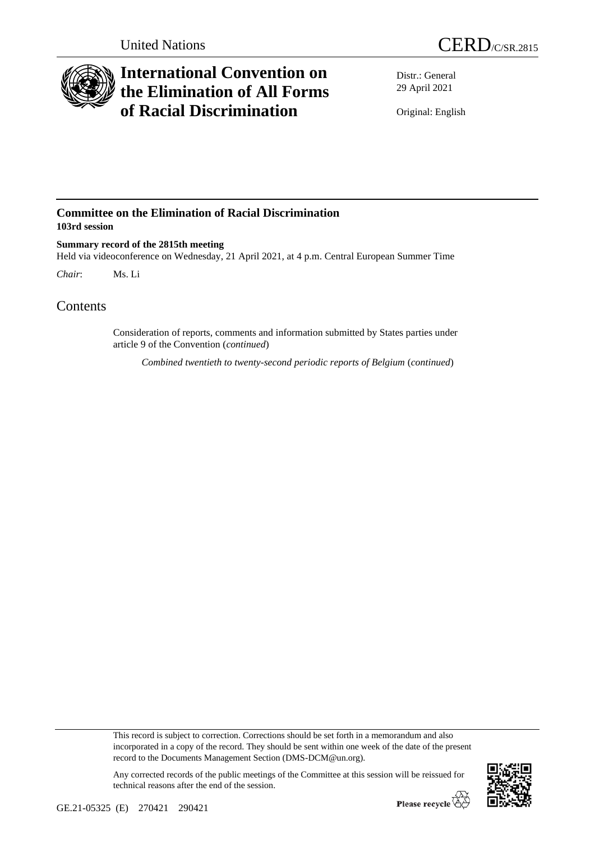

## **International Convention on the Elimination of All Forms of Racial Discrimination**

Distr.: General 29 April 2021

Original: English

## **Committee on the Elimination of Racial Discrimination 103rd session**

**Summary record of the 2815th meeting** Held via videoconference on Wednesday, 21 April 2021, at 4 p.m. Central European Summer Time *Chair*: Ms. Li

## Contents

Consideration of reports, comments and information submitted by States parties under article 9 of the Convention (*continued*)

*Combined twentieth to twenty-second periodic reports of Belgium* (*continued*)

This record is subject to correction. Corrections should be set forth in a memorandum and also incorporated in a copy of the record. They should be sent within one week of the date of the present record to the Documents Management Section (DMS-DCM@un.org).

Any corrected records of the public meetings of the Committee at this session will be reissued for technical reasons after the end of the session.

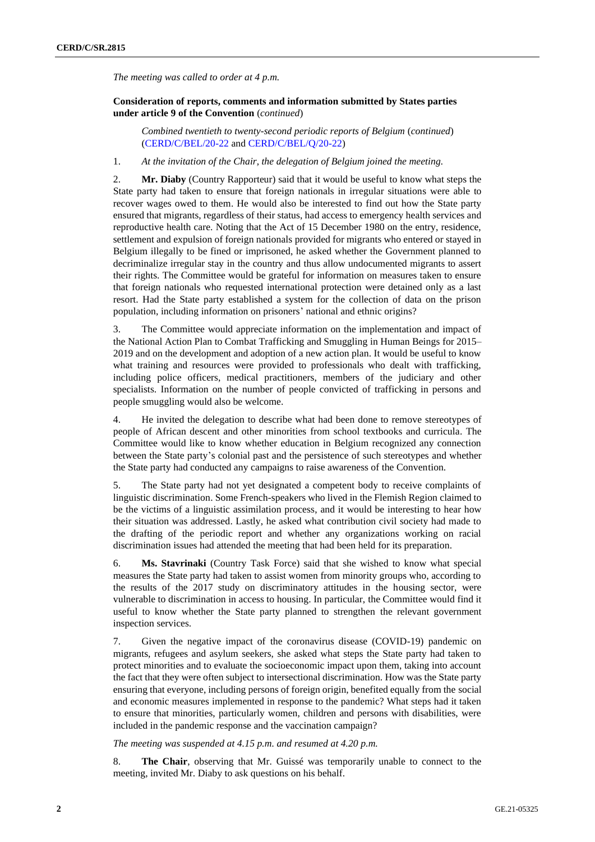*The meeting was called to order at 4 p.m.*

## **Consideration of reports, comments and information submitted by States parties under article 9 of the Convention** (*continued*)

*Combined twentieth to twenty-second periodic reports of Belgium* (*continued*) [\(CERD/C/BEL/20-22](http://undocs.org/en/CERD/C/BEL/20-22) and [CERD/C/BEL/Q/20-22\)](http://undocs.org/en/CERD/C/BEL/Q/20-22)

1. *At the invitation of the Chair, the delegation of Belgium joined the meeting.*

2. **Mr. Diaby** (Country Rapporteur) said that it would be useful to know what steps the State party had taken to ensure that foreign nationals in irregular situations were able to recover wages owed to them. He would also be interested to find out how the State party ensured that migrants, regardless of their status, had access to emergency health services and reproductive health care. Noting that the Act of 15 December 1980 on the entry, residence, settlement and expulsion of foreign nationals provided for migrants who entered or stayed in Belgium illegally to be fined or imprisoned, he asked whether the Government planned to decriminalize irregular stay in the country and thus allow undocumented migrants to assert their rights. The Committee would be grateful for information on measures taken to ensure that foreign nationals who requested international protection were detained only as a last resort. Had the State party established a system for the collection of data on the prison population, including information on prisoners' national and ethnic origins?

3. The Committee would appreciate information on the implementation and impact of the National Action Plan to Combat Trafficking and Smuggling in Human Beings for 2015– 2019 and on the development and adoption of a new action plan. It would be useful to know what training and resources were provided to professionals who dealt with trafficking, including police officers, medical practitioners, members of the judiciary and other specialists. Information on the number of people convicted of trafficking in persons and people smuggling would also be welcome.

4. He invited the delegation to describe what had been done to remove stereotypes of people of African descent and other minorities from school textbooks and curricula. The Committee would like to know whether education in Belgium recognized any connection between the State party's colonial past and the persistence of such stereotypes and whether the State party had conducted any campaigns to raise awareness of the Convention.

5. The State party had not yet designated a competent body to receive complaints of linguistic discrimination. Some French-speakers who lived in the Flemish Region claimed to be the victims of a linguistic assimilation process, and it would be interesting to hear how their situation was addressed. Lastly, he asked what contribution civil society had made to the drafting of the periodic report and whether any organizations working on racial discrimination issues had attended the meeting that had been held for its preparation.

6. **Ms. Stavrinaki** (Country Task Force) said that she wished to know what special measures the State party had taken to assist women from minority groups who, according to the results of the 2017 study on discriminatory attitudes in the housing sector, were vulnerable to discrimination in access to housing. In particular, the Committee would find it useful to know whether the State party planned to strengthen the relevant government inspection services.

7. Given the negative impact of the coronavirus disease (COVID-19) pandemic on migrants, refugees and asylum seekers, she asked what steps the State party had taken to protect minorities and to evaluate the socioeconomic impact upon them, taking into account the fact that they were often subject to intersectional discrimination. How was the State party ensuring that everyone, including persons of foreign origin, benefited equally from the social and economic measures implemented in response to the pandemic? What steps had it taken to ensure that minorities, particularly women, children and persons with disabilities, were included in the pandemic response and the vaccination campaign?

*The meeting was suspended at 4.15 p.m. and resumed at 4.20 p.m.* 

8. **The Chair**, observing that Mr. Guissé was temporarily unable to connect to the meeting, invited Mr. Diaby to ask questions on his behalf.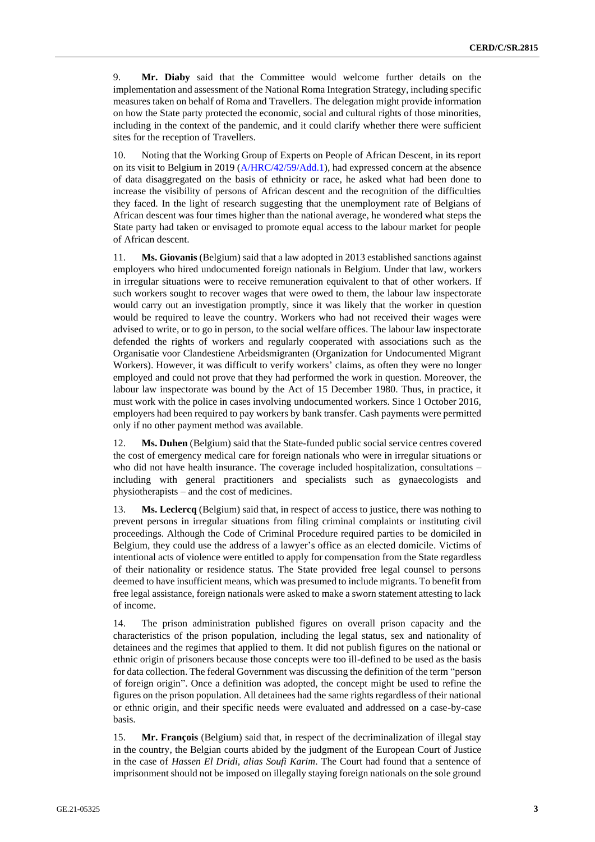9. **Mr. Diaby** said that the Committee would welcome further details on the implementation and assessment of the National Roma Integration Strategy, including specific measures taken on behalf of Roma and Travellers. The delegation might provide information on how the State party protected the economic, social and cultural rights of those minorities, including in the context of the pandemic, and it could clarify whether there were sufficient sites for the reception of Travellers.

10. Noting that the Working Group of Experts on People of African Descent, in its report on its visit to Belgium in 2019 [\(A/HRC/42/59/Add.1\)](http://undocs.org/en/A/HRC/42/59/Add.1), had expressed concern at the absence of data disaggregated on the basis of ethnicity or race, he asked what had been done to increase the visibility of persons of African descent and the recognition of the difficulties they faced. In the light of research suggesting that the unemployment rate of Belgians of African descent was four times higher than the national average, he wondered what steps the State party had taken or envisaged to promote equal access to the labour market for people of African descent.

11. **Ms. Giovanis** (Belgium) said that a law adopted in 2013 established sanctions against employers who hired undocumented foreign nationals in Belgium. Under that law, workers in irregular situations were to receive remuneration equivalent to that of other workers. If such workers sought to recover wages that were owed to them, the labour law inspectorate would carry out an investigation promptly, since it was likely that the worker in question would be required to leave the country. Workers who had not received their wages were advised to write, or to go in person, to the social welfare offices. The labour law inspectorate defended the rights of workers and regularly cooperated with associations such as the Organisatie voor Clandestiene Arbeidsmigranten (Organization for Undocumented Migrant Workers). However, it was difficult to verify workers' claims, as often they were no longer employed and could not prove that they had performed the work in question. Moreover, the labour law inspectorate was bound by the Act of 15 December 1980. Thus, in practice, it must work with the police in cases involving undocumented workers. Since 1 October 2016, employers had been required to pay workers by bank transfer. Cash payments were permitted only if no other payment method was available.

12. **Ms. Duhen** (Belgium) said that the State-funded public social service centres covered the cost of emergency medical care for foreign nationals who were in irregular situations or who did not have health insurance. The coverage included hospitalization, consultations – including with general practitioners and specialists such as gynaecologists and physiotherapists – and the cost of medicines.

13. **Ms. Leclercq** (Belgium) said that, in respect of access to justice, there was nothing to prevent persons in irregular situations from filing criminal complaints or instituting civil proceedings. Although the Code of Criminal Procedure required parties to be domiciled in Belgium, they could use the address of a lawyer's office as an elected domicile. Victims of intentional acts of violence were entitled to apply for compensation from the State regardless of their nationality or residence status. The State provided free legal counsel to persons deemed to have insufficient means, which was presumed to include migrants. To benefit from free legal assistance, foreign nationals were asked to make a sworn statement attesting to lack of income.

14. The prison administration published figures on overall prison capacity and the characteristics of the prison population, including the legal status, sex and nationality of detainees and the regimes that applied to them. It did not publish figures on the national or ethnic origin of prisoners because those concepts were too ill-defined to be used as the basis for data collection. The federal Government was discussing the definition of the term "person of foreign origin". Once a definition was adopted, the concept might be used to refine the figures on the prison population. All detainees had the same rights regardless of their national or ethnic origin, and their specific needs were evaluated and addressed on a case-by-case basis.

15. **Mr. François** (Belgium) said that, in respect of the decriminalization of illegal stay in the country, the Belgian courts abided by the judgment of the European Court of Justice in the case of *Hassen El Dridi, alias Soufi Karim*. The Court had found that a sentence of imprisonment should not be imposed on illegally staying foreign nationals on the sole ground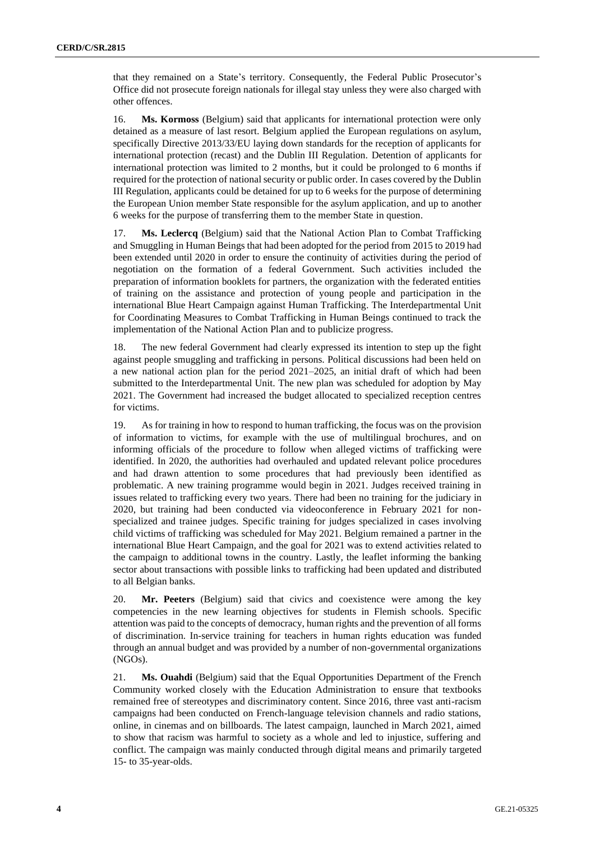that they remained on a State's territory. Consequently, the Federal Public Prosecutor's Office did not prosecute foreign nationals for illegal stay unless they were also charged with other offences.

16. **Ms. Kormoss** (Belgium) said that applicants for international protection were only detained as a measure of last resort. Belgium applied the European regulations on asylum, specifically Directive 2013/33/EU laying down standards for the reception of applicants for international protection (recast) and the Dublin III Regulation. Detention of applicants for international protection was limited to 2 months, but it could be prolonged to 6 months if required for the protection of national security or public order. In cases covered by the Dublin III Regulation, applicants could be detained for up to 6 weeks for the purpose of determining the European Union member State responsible for the asylum application, and up to another 6 weeks for the purpose of transferring them to the member State in question.

17. **Ms. Leclercq** (Belgium) said that the National Action Plan to Combat Trafficking and Smuggling in Human Beings that had been adopted for the period from 2015 to 2019 had been extended until 2020 in order to ensure the continuity of activities during the period of negotiation on the formation of a federal Government. Such activities included the preparation of information booklets for partners, the organization with the federated entities of training on the assistance and protection of young people and participation in the international Blue Heart Campaign against Human Trafficking. The Interdepartmental Unit for Coordinating Measures to Combat Trafficking in Human Beings continued to track the implementation of the National Action Plan and to publicize progress.

18. The new federal Government had clearly expressed its intention to step up the fight against people smuggling and trafficking in persons. Political discussions had been held on a new national action plan for the period 2021–2025, an initial draft of which had been submitted to the Interdepartmental Unit. The new plan was scheduled for adoption by May 2021. The Government had increased the budget allocated to specialized reception centres for victims.

19. As for training in how to respond to human trafficking, the focus was on the provision of information to victims, for example with the use of multilingual brochures, and on informing officials of the procedure to follow when alleged victims of trafficking were identified. In 2020, the authorities had overhauled and updated relevant police procedures and had drawn attention to some procedures that had previously been identified as problematic. A new training programme would begin in 2021. Judges received training in issues related to trafficking every two years. There had been no training for the judiciary in 2020, but training had been conducted via videoconference in February 2021 for nonspecialized and trainee judges. Specific training for judges specialized in cases involving child victims of trafficking was scheduled for May 2021. Belgium remained a partner in the international Blue Heart Campaign, and the goal for 2021 was to extend activities related to the campaign to additional towns in the country. Lastly, the leaflet informing the banking sector about transactions with possible links to trafficking had been updated and distributed to all Belgian banks.

20. **Mr. Peeters** (Belgium) said that civics and coexistence were among the key competencies in the new learning objectives for students in Flemish schools. Specific attention was paid to the concepts of democracy, human rights and the prevention of all forms of discrimination. In-service training for teachers in human rights education was funded through an annual budget and was provided by a number of non-governmental organizations (NGOs).

21. **Ms. Ouahdi** (Belgium) said that the Equal Opportunities Department of the French Community worked closely with the Education Administration to ensure that textbooks remained free of stereotypes and discriminatory content. Since 2016, three vast anti-racism campaigns had been conducted on French-language television channels and radio stations, online, in cinemas and on billboards. The latest campaign, launched in March 2021, aimed to show that racism was harmful to society as a whole and led to injustice, suffering and conflict. The campaign was mainly conducted through digital means and primarily targeted 15- to 35-year-olds.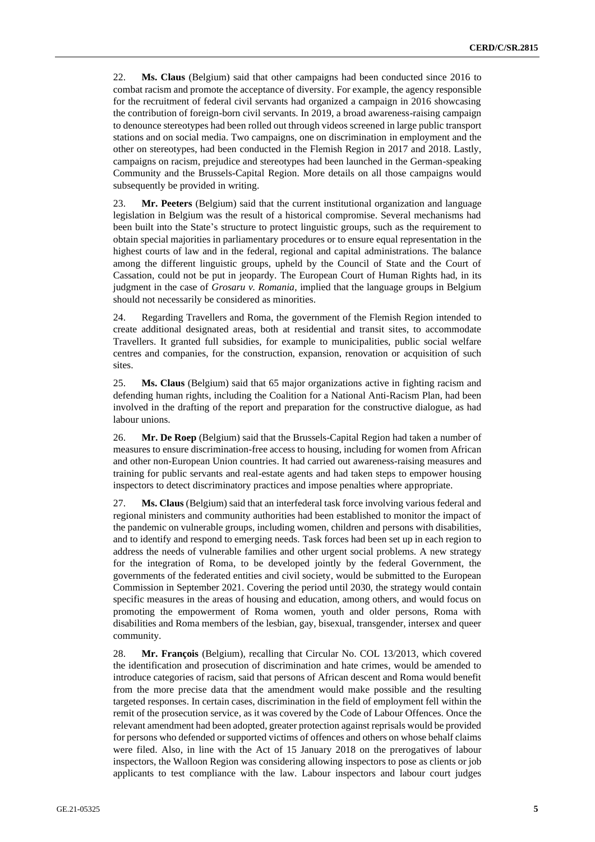22. **Ms. Claus** (Belgium) said that other campaigns had been conducted since 2016 to combat racism and promote the acceptance of diversity. For example, the agency responsible for the recruitment of federal civil servants had organized a campaign in 2016 showcasing the contribution of foreign-born civil servants. In 2019, a broad awareness-raising campaign to denounce stereotypes had been rolled out through videos screened in large public transport stations and on social media. Two campaigns, one on discrimination in employment and the other on stereotypes, had been conducted in the Flemish Region in 2017 and 2018. Lastly, campaigns on racism, prejudice and stereotypes had been launched in the German-speaking Community and the Brussels-Capital Region. More details on all those campaigns would subsequently be provided in writing.

23. **Mr. Peeters** (Belgium) said that the current institutional organization and language legislation in Belgium was the result of a historical compromise. Several mechanisms had been built into the State's structure to protect linguistic groups, such as the requirement to obtain special majorities in parliamentary procedures or to ensure equal representation in the highest courts of law and in the federal, regional and capital administrations. The balance among the different linguistic groups, upheld by the Council of State and the Court of Cassation, could not be put in jeopardy. The European Court of Human Rights had, in its judgment in the case of *Grosaru v. Romania*, implied that the language groups in Belgium should not necessarily be considered as minorities.

24. Regarding Travellers and Roma, the government of the Flemish Region intended to create additional designated areas, both at residential and transit sites, to accommodate Travellers. It granted full subsidies, for example to municipalities, public social welfare centres and companies, for the construction, expansion, renovation or acquisition of such sites.

25. **Ms. Claus** (Belgium) said that 65 major organizations active in fighting racism and defending human rights, including the Coalition for a National Anti-Racism Plan, had been involved in the drafting of the report and preparation for the constructive dialogue, as had labour unions.

26. **Mr. De Roep** (Belgium) said that the Brussels-Capital Region had taken a number of measures to ensure discrimination-free access to housing, including for women from African and other non-European Union countries. It had carried out awareness-raising measures and training for public servants and real-estate agents and had taken steps to empower housing inspectors to detect discriminatory practices and impose penalties where appropriate.

27. **Ms. Claus** (Belgium) said that an interfederal task force involving various federal and regional ministers and community authorities had been established to monitor the impact of the pandemic on vulnerable groups, including women, children and persons with disabilities, and to identify and respond to emerging needs. Task forces had been set up in each region to address the needs of vulnerable families and other urgent social problems. A new strategy for the integration of Roma, to be developed jointly by the federal Government, the governments of the federated entities and civil society, would be submitted to the European Commission in September 2021. Covering the period until 2030, the strategy would contain specific measures in the areas of housing and education, among others, and would focus on promoting the empowerment of Roma women, youth and older persons, Roma with disabilities and Roma members of the lesbian, gay, bisexual, transgender, intersex and queer community.

28. **Mr. François** (Belgium), recalling that Circular No. COL 13/2013, which covered the identification and prosecution of discrimination and hate crimes, would be amended to introduce categories of racism, said that persons of African descent and Roma would benefit from the more precise data that the amendment would make possible and the resulting targeted responses. In certain cases, discrimination in the field of employment fell within the remit of the prosecution service, as it was covered by the Code of Labour Offences. Once the relevant amendment had been adopted, greater protection against reprisals would be provided for persons who defended or supported victims of offences and others on whose behalf claims were filed. Also, in line with the Act of 15 January 2018 on the prerogatives of labour inspectors, the Walloon Region was considering allowing inspectors to pose as clients or job applicants to test compliance with the law. Labour inspectors and labour court judges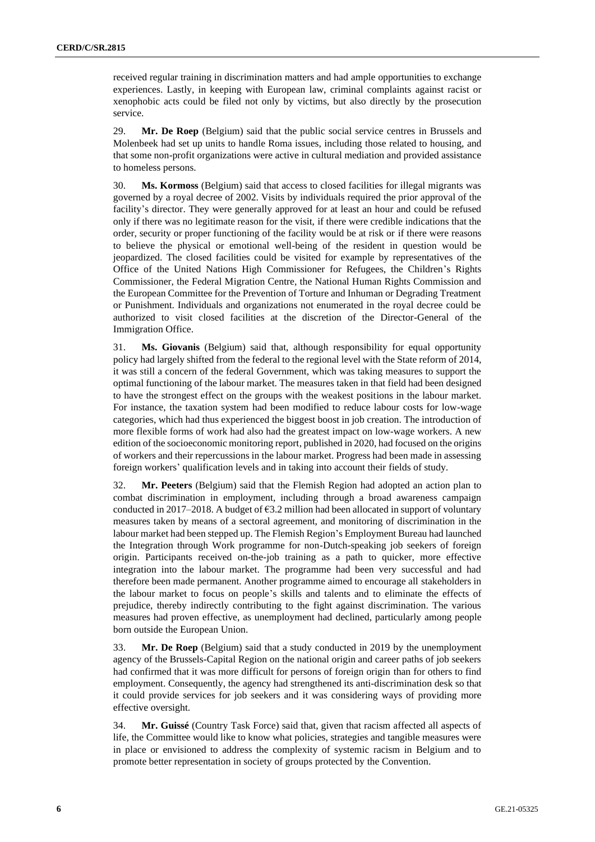received regular training in discrimination matters and had ample opportunities to exchange experiences. Lastly, in keeping with European law, criminal complaints against racist or xenophobic acts could be filed not only by victims, but also directly by the prosecution service.

29. **Mr. De Roep** (Belgium) said that the public social service centres in Brussels and Molenbeek had set up units to handle Roma issues, including those related to housing, and that some non-profit organizations were active in cultural mediation and provided assistance to homeless persons.

30. **Ms. Kormoss** (Belgium) said that access to closed facilities for illegal migrants was governed by a royal decree of 2002. Visits by individuals required the prior approval of the facility's director. They were generally approved for at least an hour and could be refused only if there was no legitimate reason for the visit, if there were credible indications that the order, security or proper functioning of the facility would be at risk or if there were reasons to believe the physical or emotional well-being of the resident in question would be jeopardized. The closed facilities could be visited for example by representatives of the Office of the United Nations High Commissioner for Refugees, the Children's Rights Commissioner, the Federal Migration Centre, the National Human Rights Commission and the European Committee for the Prevention of Torture and Inhuman or Degrading Treatment or Punishment. Individuals and organizations not enumerated in the royal decree could be authorized to visit closed facilities at the discretion of the Director-General of the Immigration Office.

31. **Ms. Giovanis** (Belgium) said that, although responsibility for equal opportunity policy had largely shifted from the federal to the regional level with the State reform of 2014, it was still a concern of the federal Government, which was taking measures to support the optimal functioning of the labour market. The measures taken in that field had been designed to have the strongest effect on the groups with the weakest positions in the labour market. For instance, the taxation system had been modified to reduce labour costs for low-wage categories, which had thus experienced the biggest boost in job creation. The introduction of more flexible forms of work had also had the greatest impact on low-wage workers. A new edition of the socioeconomic monitoring report, published in 2020, had focused on the origins of workers and their repercussions in the labour market. Progress had been made in assessing foreign workers' qualification levels and in taking into account their fields of study.

32. **Mr. Peeters** (Belgium) said that the Flemish Region had adopted an action plan to combat discrimination in employment, including through a broad awareness campaign conducted in 2017–2018. A budget of  $63.2$  million had been allocated in support of voluntary measures taken by means of a sectoral agreement, and monitoring of discrimination in the labour market had been stepped up. The Flemish Region's Employment Bureau had launched the Integration through Work programme for non-Dutch-speaking job seekers of foreign origin. Participants received on-the-job training as a path to quicker, more effective integration into the labour market. The programme had been very successful and had therefore been made permanent. Another programme aimed to encourage all stakeholders in the labour market to focus on people's skills and talents and to eliminate the effects of prejudice, thereby indirectly contributing to the fight against discrimination. The various measures had proven effective, as unemployment had declined, particularly among people born outside the European Union.

33. **Mr. De Roep** (Belgium) said that a study conducted in 2019 by the unemployment agency of the Brussels-Capital Region on the national origin and career paths of job seekers had confirmed that it was more difficult for persons of foreign origin than for others to find employment. Consequently, the agency had strengthened its anti-discrimination desk so that it could provide services for job seekers and it was considering ways of providing more effective oversight.

34. **Mr. Guissé** (Country Task Force) said that, given that racism affected all aspects of life, the Committee would like to know what policies, strategies and tangible measures were in place or envisioned to address the complexity of systemic racism in Belgium and to promote better representation in society of groups protected by the Convention.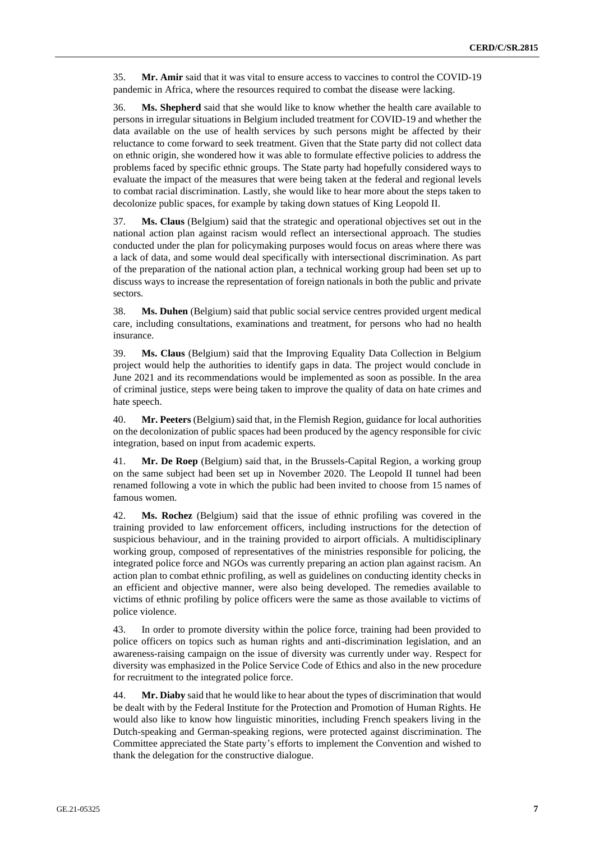35. **Mr. Amir** said that it was vital to ensure access to vaccines to control the COVID-19 pandemic in Africa, where the resources required to combat the disease were lacking.

36. **Ms. Shepherd** said that she would like to know whether the health care available to persons in irregular situations in Belgium included treatment for COVID-19 and whether the data available on the use of health services by such persons might be affected by their reluctance to come forward to seek treatment. Given that the State party did not collect data on ethnic origin, she wondered how it was able to formulate effective policies to address the problems faced by specific ethnic groups. The State party had hopefully considered ways to evaluate the impact of the measures that were being taken at the federal and regional levels to combat racial discrimination. Lastly, she would like to hear more about the steps taken to decolonize public spaces, for example by taking down statues of King Leopold II.

37. **Ms. Claus** (Belgium) said that the strategic and operational objectives set out in the national action plan against racism would reflect an intersectional approach. The studies conducted under the plan for policymaking purposes would focus on areas where there was a lack of data, and some would deal specifically with intersectional discrimination. As part of the preparation of the national action plan, a technical working group had been set up to discuss ways to increase the representation of foreign nationals in both the public and private sectors.

38. **Ms. Duhen** (Belgium) said that public social service centres provided urgent medical care, including consultations, examinations and treatment, for persons who had no health insurance.

39. **Ms. Claus** (Belgium) said that the Improving Equality Data Collection in Belgium project would help the authorities to identify gaps in data. The project would conclude in June 2021 and its recommendations would be implemented as soon as possible. In the area of criminal justice, steps were being taken to improve the quality of data on hate crimes and hate speech.

40. **Mr. Peeters** (Belgium) said that, in the Flemish Region, guidance for local authorities on the decolonization of public spaces had been produced by the agency responsible for civic integration, based on input from academic experts.

41. **Mr. De Roep** (Belgium) said that, in the Brussels-Capital Region, a working group on the same subject had been set up in November 2020. The Leopold II tunnel had been renamed following a vote in which the public had been invited to choose from 15 names of famous women.

42. **Ms. Rochez** (Belgium) said that the issue of ethnic profiling was covered in the training provided to law enforcement officers, including instructions for the detection of suspicious behaviour, and in the training provided to airport officials. A multidisciplinary working group, composed of representatives of the ministries responsible for policing, the integrated police force and NGOs was currently preparing an action plan against racism. An action plan to combat ethnic profiling, as well as guidelines on conducting identity checks in an efficient and objective manner, were also being developed. The remedies available to victims of ethnic profiling by police officers were the same as those available to victims of police violence.

43. In order to promote diversity within the police force, training had been provided to police officers on topics such as human rights and anti-discrimination legislation, and an awareness-raising campaign on the issue of diversity was currently under way. Respect for diversity was emphasized in the Police Service Code of Ethics and also in the new procedure for recruitment to the integrated police force.

44. **Mr. Diaby** said that he would like to hear about the types of discrimination that would be dealt with by the Federal Institute for the Protection and Promotion of Human Rights. He would also like to know how linguistic minorities, including French speakers living in the Dutch-speaking and German-speaking regions, were protected against discrimination. The Committee appreciated the State party's efforts to implement the Convention and wished to thank the delegation for the constructive dialogue.